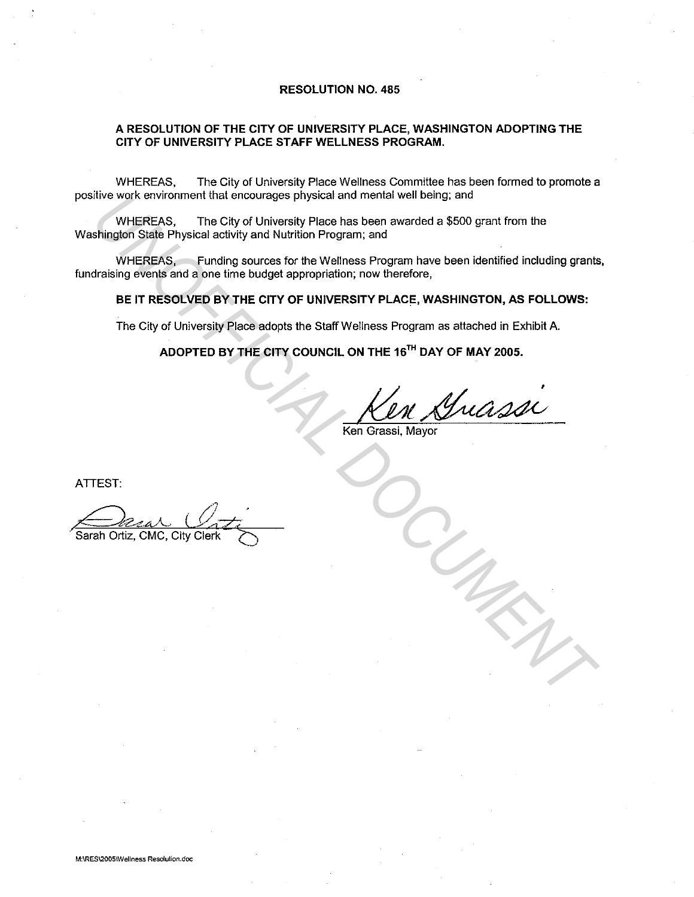#### **RESOLUTION NO. 485**

### **A RESOLUTION OF THE CITY OF UNIVERSITY PLACE, WASHINGTON ADOPTING THE CITY OF UNIVERSITY PLACE STAFF WELLNESS PROGRAM.**

WHEREAS, The City of University Place Wellness Committee has been formed to promote a positive work environment that encourages physical and mental well being; and

WHEREAS, The City of University Place has been awarded a \$500 grant from the Washington State Physical activity and Nutrition Program; and

WHEREAS, Funding sources for the Wellness Program have been identified including grants, fundraising events and a one time budget appropriation; now therefore, Inversion and a final encourages physical and mental well being; and<br>
WHEREAS, The City of University Place has been awarded a \$500 grant from the<br>
shington State Physical activity and Nutrition Program; and<br>
WHEREAS, Fund

## **BE IT RESOLVED BY THE CITY OF UNIVERSITY PLACE, WASHINGTON, AS FOLLOWS:**

The City of University Place adopts the Staff Wellness Program as attached in Exhibit A.

**ADOPTED BY THE CITY COUNCIL ON THE 15TH DAY OF MAY 2005.** 

Ken Grassi, Mayor

ATTEST: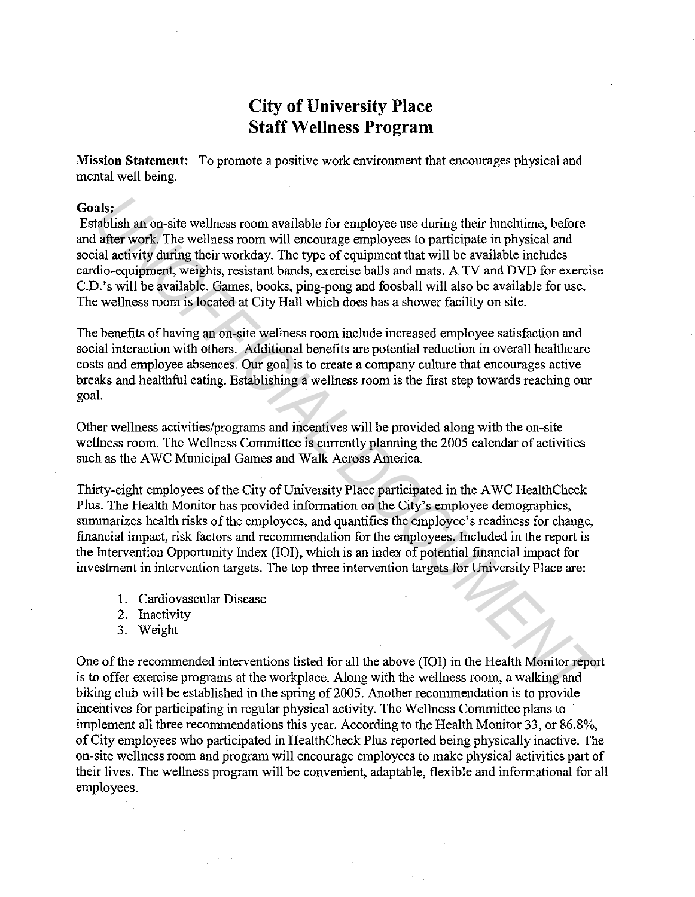# **City of University Place Staff Wellness Program**

**Mission Statement:** To promote a positive work environment that encourages physical and mental well being.

### **Goals:**

Establish an on-site wellness room available for employee use during their lunchtime, before and after work. The wellness room will encourage employees to participate in physical and social activity during their workday. The type of equipment that will be available includes cardio-equipment, weights, resistant bands, exercise balls and mats. A TV and DVD for exercise C.D.'s will be available. Games, books, ping-pong and foosball will also be available for use. The wellness room is located at City Hall which does has a shower facility on site. **als:**<br> **Als:**<br> **Exterbishish an on-site wellness room available for employee use during their lunchtime, before that a tachivity during their vandt, The type of equipment that will be evailable inclusion and all activity** 

The benefits of having an on-site wellness room include increased employee satisfaction and social interaction with others. Additional benefits are potential reduction in overall healthcare costs and employee absences. Our goal is to create a company culture that encourages active breaks and healthful eating. Establishing a wellness room is the first step towards reaching our goal.

Other wellness activities/programs and incentives will be provided along with the on-site wellness room. The Wellness Committee is currently planning the 2005 calendar of activities such as the AWC Municipal Games and Walk Across America.

Thirty-eight employees of the City of University Place participated in the A WC HealthCheck Plus. The Health Monitor has provided information on the City's employee demographics, summarizes health risks of the employees, and quantifies the employee's readiness for change, financial impact, risk factors and recommendation for the employees. Included in the report is the Intervention Opportunity Index (IOI), which is an index of potential financial impact for investment in intervention targets. The top three intervention targets for University Place are:

- 1. Cardiovascular Disease
- 2. Inactivity
- 3. Weight

One of the recommended interventions listed for all the above (IOI) in the Health Monitor report is to offer exercise programs at the workplace. Along with the wellness room, a walking and biking club will be established in the spring of 2005. Another recommendation is to provide incentives for participating in regular physical activity. The Wellness Committee plans to implement all three recommendations this year. According to the Health Monitor 33, or 86.8%, of City employees who participated in HealthCheck Plus reported being physically inactive. The on-site wellness room and program will encourage employees to make physical activities part of their lives. The wellness program will be convenient, adaptable, flexible and informational for all employees.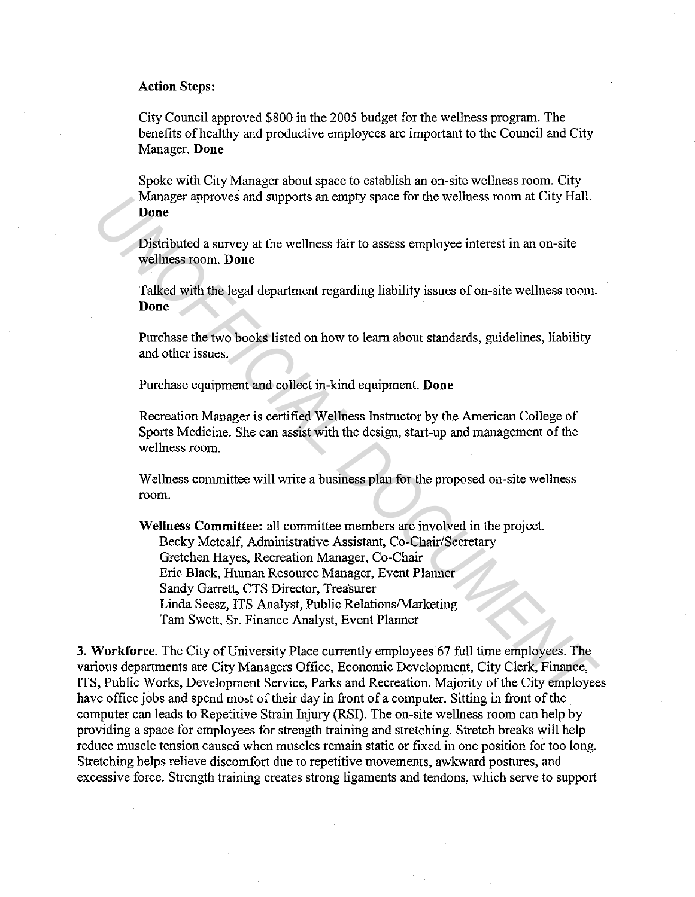## **Action Steps:**

City Council approved \$800 in the 2005 budget for the wellness program. The benefits of healthy and productive employees are important to the Council and City Manager. **Done** 

Spoke with City Manager about space to establish an on-site wellness room. City Manager approves and supports an empty space for the wellness room at City Hall. **Done** 

Distributed a survey at the wellness fair to assess employee interest in an on-site wellness room. **Done** 

Talked with the legal department regarding liability issues of on-site wellness room. **Done** 

Purchase the two books listed on how to learn about standards, guidelines, liability and other issues.

Purchase equipment and collect in-kind equipment. **Done** 

Recreation Manager is certified Wellness Instructor by the American College of Sports Medicine. She can assist with the design, start-up and management of the wellness room.

Wellness committee will write a business plan for the proposed on-site wellness room.

**Wellness Committee:** all committee members are involved in the project. Becky Metcalf, Administrative Assistant, Co-Chair/Secretary Gretchen Hayes, Recreation Manager, Co-Chair Eric Black, Human Resource Manager, Event Planner Sandy Garrett, CTS Director, Treasurer Linda Seesz, ITS Analyst, Public Relations/Marketing Tam Swett, Sr. Finance Analyst, Event Planner Manager approves and supports an empty space for the wellness room at City Hall.<br> **Done**<br> **Document Document State And the Mediness fair to assess employee interest in an on-site<br>
wellness room. Done<br>
<b>Talked with the lega** 

**3. Workforce.** The City of University Place currently employees 67 full time employees. The various departments are City Managers Office, Economic Development, City Clerk, Finance, ITS, Public Works, Development Service, Parks and Recreation. Majority of the City employees have office jobs and spend most of their day in front of a computer. Sitting in front of the computer can leads to Repetitive Strain Injury (RSI). The on-site wellness room can help by providing a space for employees for strength training and stretching. Stretch breaks will help reduce muscle tension caused when muscles remain static or fixed in one position for too long. Stretching helps relieve discomfort due to repetitive movements, awkward postures, and excessive force. Strength training creates strong ligaments and tendons, which serve to support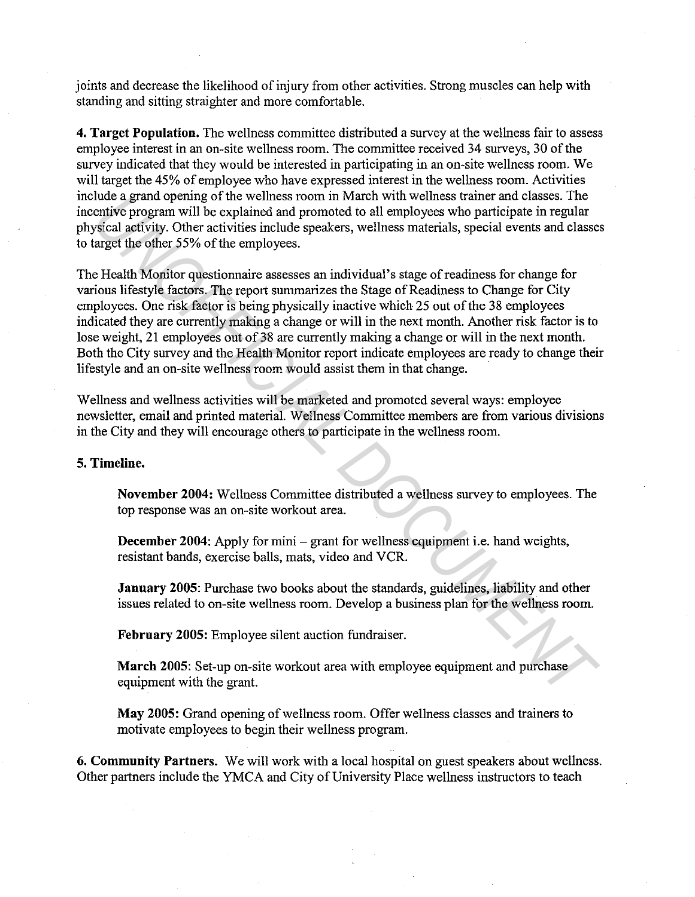joints and decrease the likelihood of injury from other activities. Strong muscles can help with standing and sitting straighter and more comfortable.

**4. Target Population.** The wellness committee distributed a survey at the wellness fair to assess employee interest in an on-site wellness room. The committee received 34 surveys, 30 of the survey indicated that they would be interested in participating in an on-site wellness room. We will target the 45% of employee who have expressed interest in the wellness room. Activities include a grand opening of the wellness room in March with wellness trainer and classes. The incentive program will be explained and promoted to all employees who participate in regular physical activity. Other activities include speakers, wellness materials, special events and classes to target the other 55% of the employees.

The Health Monitor questionnaire assesses an individual's stage ofreadiness for change for various lifestyle factors. The report summarizes the Stage of Readiness to Change for City employees. One risk factor is being physically inactive which 25 out of the 38 employees indicated they are currently making a change or will in the next month. Another risk factor is to lose weight, 21 employees out of 38 are currently making a change or will in the next month. Both the City survey and the Health Monitor report indicate employees are ready to change their lifestyle and an on-site wellness room would assist them in that change. Inter a grand opening of the wellness room in March with wellness trainer and classes. It<br>engive program will be explained and promoted to all employees who participate in regular<br>valical aeftvity. Other activities includ

Wellness and wellness activities will be marketed and promoted several ways: employee newsletter, email and printed material. Wellness Committee members are from various divisions in the City and they will encourage others to participate in the wellness room.

## **5. Timeline.**

**November 2004:** Wellness Committee distributed a wellness survey to employees. The top response was an on-site workout area.

**December 2004:** Apply for mini – grant for wellness equipment i.e. hand weights, resistant bands, exercise balls, mats, video and VCR.

**January 2005:** Purchase two books about the standards, guidelines, liability and other issues related to on-site wellness room. Develop a business plan for the wellness room.

**February 2005:** Employee silent auction fundraiser.

**March 2005:** Set-up on-site workout area with employee equipment and purchase equipment with the grant.

**May 2005:** Grand opening of wellness room. Offer wellness classes and trainers to motivate employees to begin their wellness program.

**6. Community Partners.** We will work with a local hospital on guest speakers about wellness. Other partners include the YMCA and City of University Place wellness instructors to teach